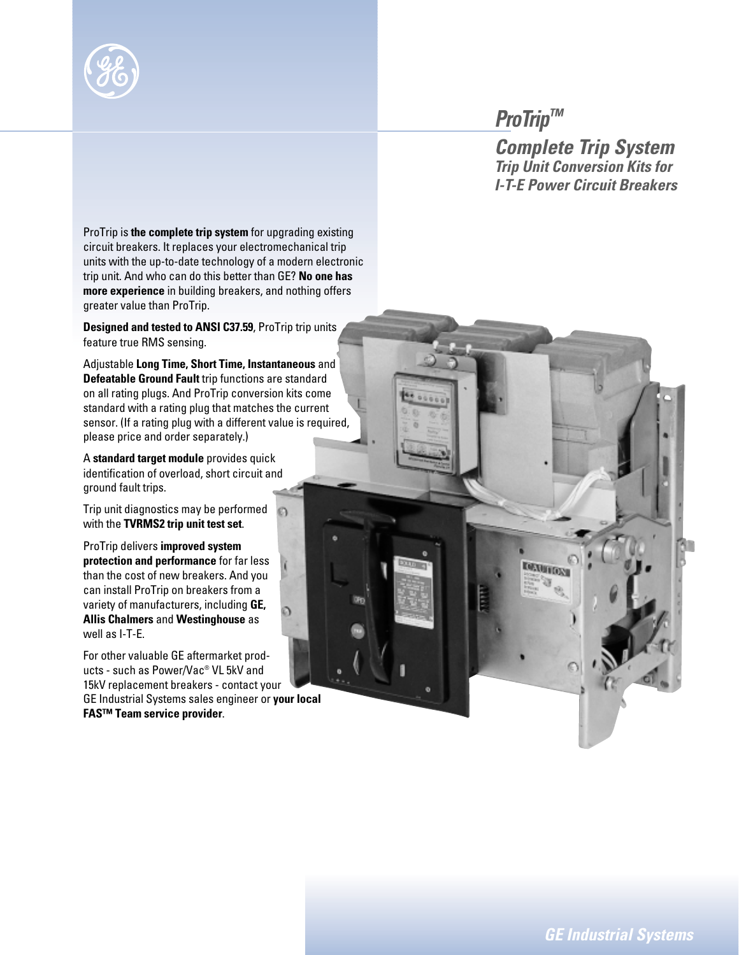

## *ProTrip™*

**DEMITION** 

*Complete Trip System Trip Unit Conversion Kits for I-T-E Power Circuit Breakers*

ProTrip is **the complete trip system** for upgrading existing circuit breakers. It replaces your electromechanical trip units with the up-to-date technology of a modern electronic trip unit. And who can do this better than GE? **No one has more experience** in building breakers, and nothing offers greater value than ProTrip.

**Designed and tested to ANSI C37.59**, ProTrip trip units feature true RMS sensing.

Adjustable **Long Time, Short Time, Instantaneous** and **Defeatable Ground Fault** trip functions are standard on all rating plugs. And ProTrip conversion kits come standard with a rating plug that matches the current sensor. (If a rating plug with a different value is required, please price and order separately.)

A **standard target module** provides quick identification of overload, short circuit and ground fault trips.

Trip unit diagnostics may be performed with the **TVRMS2 trip unit test set**.

ProTrip delivers **improved system protection and performance** for far less than the cost of new breakers. And you can install ProTrip on breakers from a variety of manufacturers, including **GE, Allis Chalmers** and **Westinghouse** as well as I-T-E.

For other valuable GE aftermarket products - such as Power/Vac® VL 5kV and 15kV replacement breakers - contact your GE Industrial Systems sales engineer or **your local FAS™ Team service provider**.

*GE Industrial Systems*